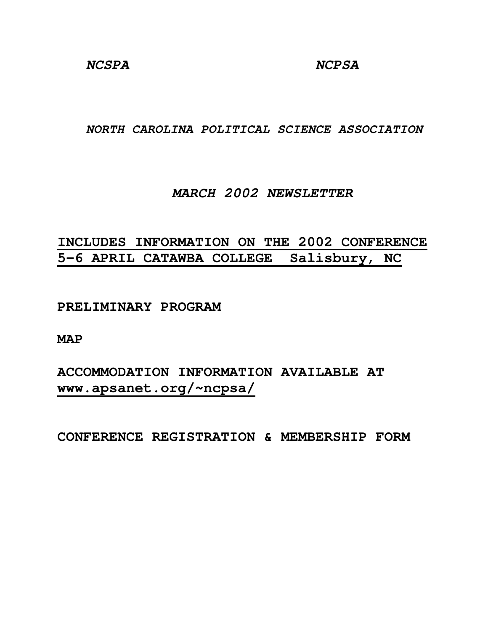**NORTH CAROLINA POLITICAL SCIENCE ASSOCIATION**

## **MARCH 2002 NEWSLETTER**

# **INCLUDES INFORMATION ON THE 2002 CONFERENCE 5-6 APRIL CATAWBA COLLEGE Salisbury, NC**

**PRELIMINARY PROGRAM** 

**MAP** 

**ACCOMMODATION INFORMATION AVAILABLE AT www.apsanet.org/~ncpsa/**

**CONFERENCE REGISTRATION & MEMBERSHIP FORM**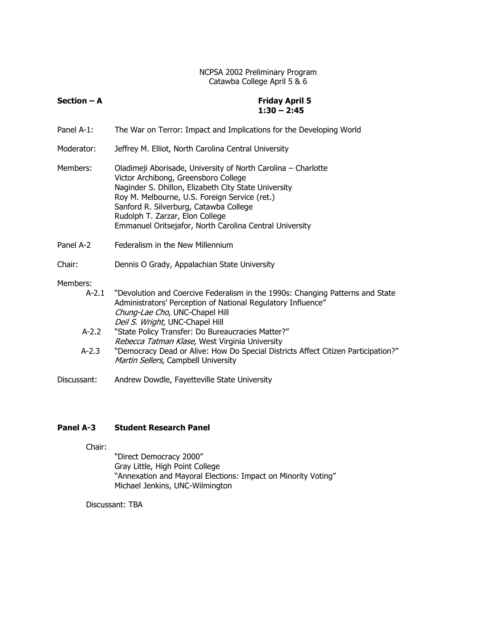### NCPSA 2002 Preliminary Program Catawba College April 5 & 6

| $Section - A$ | <b>Friday April 5</b><br>$1:30 - 2:45$                                                                                                                                                                                                                                                                                                                 |
|---------------|--------------------------------------------------------------------------------------------------------------------------------------------------------------------------------------------------------------------------------------------------------------------------------------------------------------------------------------------------------|
| Panel A-1:    | The War on Terror: Impact and Implications for the Developing World                                                                                                                                                                                                                                                                                    |
| Moderator:    | Jeffrey M. Elliot, North Carolina Central University                                                                                                                                                                                                                                                                                                   |
| Members:      | Oladimeji Aborisade, University of North Carolina – Charlotte<br>Victor Archibong, Greensboro College<br>Naginder S. Dhillon, Elizabeth City State University<br>Roy M. Melbourne, U.S. Foreign Service (ret.)<br>Sanford R. Silverburg, Catawba College<br>Rudolph T. Zarzar, Elon College<br>Emmanuel Oritsejafor, North Carolina Central University |
| Panel A-2     | Federalism in the New Millennium                                                                                                                                                                                                                                                                                                                       |
| Chair:        | Dennis O Grady, Appalachian State University                                                                                                                                                                                                                                                                                                           |

#### Members:

| $A - 2.1$ | "Devolution and Coercive Federalism in the 1990s: Changing Patterns and State |
|-----------|-------------------------------------------------------------------------------|
|           | Administrators' Perception of National Regulatory Influence"                  |
|           | Chung-Lae Cho, UNC-Chapel Hill                                                |
|           | Deil S. Wright, UNC-Chapel Hill                                               |

- A-2.2 "State Policy Transfer: Do Bureaucracies Matter?" Rebecca Tatman Klase, West Virginia University
- A-2.3 "Democracy Dead or Alive: How Do Special Districts Affect Citizen Participation?" Martin Sellers, Campbell University
- Discussant: Andrew Dowdle, Fayetteville State University

### Panel A-3 Student Research Panel

Chair:

 "Direct Democracy 2000" Gray Little, High Point College "Annexation and Mayoral Elections: Impact on Minority Voting" Michael Jenkins, UNC-Wilmington

Discussant: TBA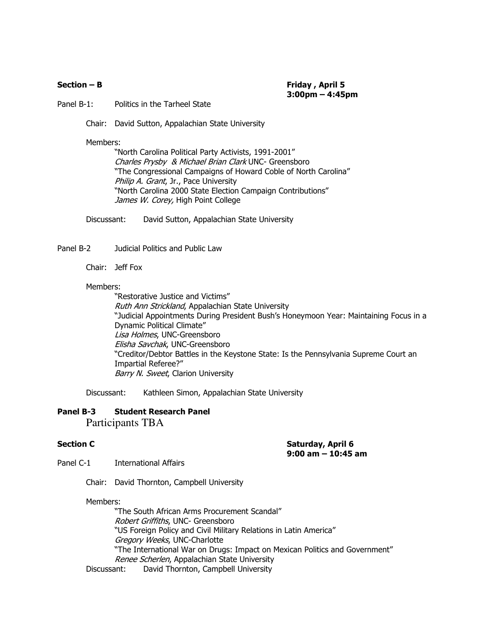Section – B Friday , April 5 3:00pm – 4:45pm

Panel B-1: Politics in the Tarheel State

Chair: David Sutton, Appalachian State University

Members:

 "North Carolina Political Party Activists, 1991-2001" Charles Prysby & Michael Brian Clark UNC- Greensboro "The Congressional Campaigns of Howard Coble of North Carolina" Philip A. Grant, Jr., Pace University "North Carolina 2000 State Election Campaign Contributions" James W. Corey, High Point College

Discussant: David Sutton, Appalachian State University

Panel B-2 Judicial Politics and Public Law

Chair: Jeff Fox

#### Members:

 "Restorative Justice and Victims" Ruth Ann Strickland, Appalachian State University "Judicial Appointments During President Bush's Honeymoon Year: Maintaining Focus in a Dynamic Political Climate" Lisa Holmes, UNC-Greensboro Elisha Savchak, UNC-Greensboro "Creditor/Debtor Battles in the Keystone State: Is the Pennsylvania Supreme Court an Impartial Referee?" Barry N. Sweet, Clarion University

Discussant: Kathleen Simon, Appalachian State University

### Panel B-3 Student Research Panel

Participants TBA

Section C **Section C** Saturday, April 6 9:00 am – 10:45 am

Panel C-1 International Affairs

Chair: David Thornton, Campbell University

#### Members:

 "The South African Arms Procurement Scandal" Robert Griffiths, UNC- Greensboro "US Foreign Policy and Civil Military Relations in Latin America" Gregory Weeks, UNC-Charlotte "The International War on Drugs: Impact on Mexican Politics and Government" Renee Scherlen, Appalachian State University

Discussant: David Thornton, Campbell University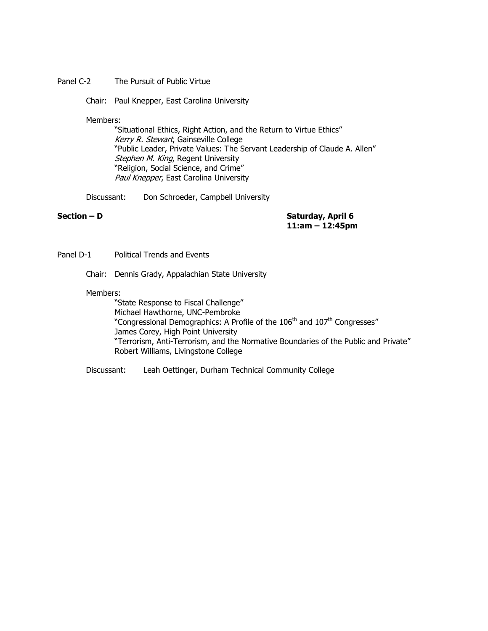#### Panel C-2 The Pursuit of Public Virtue

Chair: Paul Knepper, East Carolina University

Members:

 "Situational Ethics, Right Action, and the Return to Virtue Ethics" Kerry R. Stewart, Gainseville College "Public Leader, Private Values: The Servant Leadership of Claude A. Allen" Stephen M. King, Regent University "Religion, Social Science, and Crime" Paul Knepper, East Carolina University

Discussant: Don Schroeder, Campbell University

Section – D Saturday, April 6 11:am – 12:45pm

Panel D-1 Political Trends and Events

Chair: Dennis Grady, Appalachian State University

#### Members:

 "State Response to Fiscal Challenge" Michael Hawthorne, UNC-Pembroke "Congressional Demographics: A Profile of the 106<sup>th</sup> and 107<sup>th</sup> Congresses" James Corey, High Point University "Terrorism, Anti-Terrorism, and the Normative Boundaries of the Public and Private" Robert Williams, Livingstone College

Discussant: Leah Oettinger, Durham Technical Community College